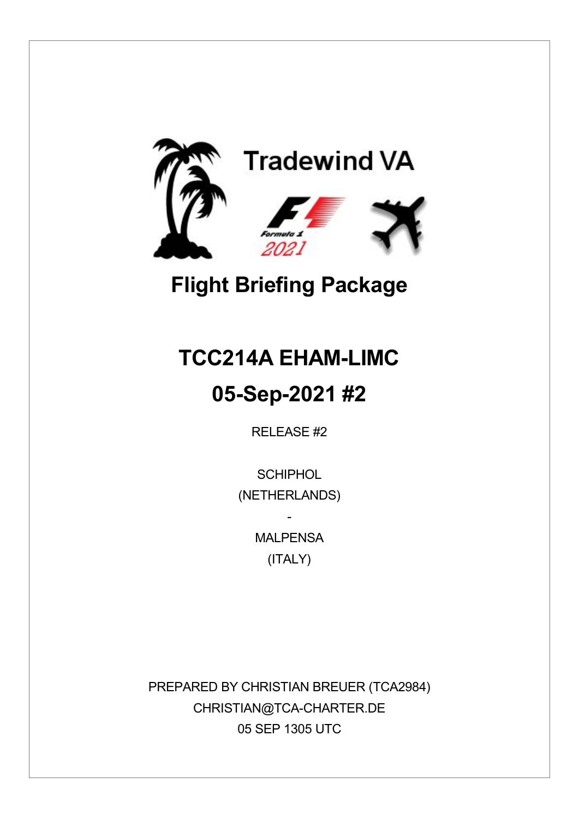

# **Flight Briefing Package**

# **TCC214A EHAM-LIMC**

## **05-Sep-2021 #2**

RELEASE #2

**SCHIPHOL** (NETHERLANDS)

> **MAI PFNSA** (ITALY)

-

PREPARED BY CHRISTIAN BREUER (TCA2984) CHRISTIAN@TCA-CHARTER.DE 05 SEP 1305 UTC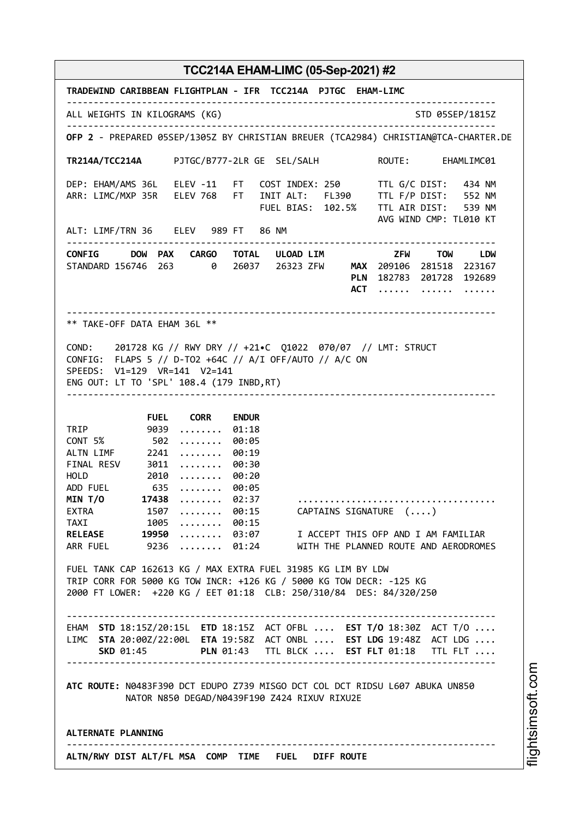**TRADEWIND CARIBBEAN FLIGHTPLAN - IFR TCC214A PJTGC EHAM-LIMC** -------------------------------------------------------------------------------- ALL WEIGHTS IN KILOGRAMS (KG) STO 05SEP/1815Z -------------------------------------------------------------------------------- **OFP 2** - PREPARED 05SEP/1305Z BY CHRISTIAN BREUER (TCA2984) CHRISTIAN@TCA-CHARTER.DE **TR214A/TCC214A** PJTGC/B777-2LR GE SEL/SALH ROUTE: EHAMLIMC01 DEP: EHAM/AMS 36L ELEV -11 FT COST INDEX: 250 TTL G/C DIST: 434 NM ARR: LIMC/MXP 35R ELEV 768 FT INIT ALT: FL390 TTL F/P DIST: 552 NM FUEL BIAS: 102.5% TTL AIR DIST: 539 NM AVG WIND CMP: TL010 KT ALT: LIMF/TRN 36 ELEV 989 FT 86 NM -------------------------------------------------------------------------------- **CONFIG DOW PAX CARGO TOTAL ULOAD LIM ZFW TOW LDW** STANDARD 156746 263 0 26037 26323 ZFW **MAX** 209106 281518 223167 **PLN** 182783 201728 192689 **ACT** ...... ....... ...... -------------------------------------------------------------------------------- \*\* TAKE-OFF DATA EHAM 36L \*\* COND: 201728 KG // RWY DRY // +21•C Q1022 070/07 // LMT: STRUCT CONFIG: FLAPS 5 // D-TO2 +64C // A/I OFF/AUTO // A/C ON SPEEDS: V1=129 VR=141 V2=141 ENG OUT: LT TO 'SPL' 108.4 (179 INBD,RT) -------------------------------------------------------------------------------- **FUEL CORR ENDUR** TRIP 9039 ........ 01:18<br>CONT 5% 502 ........ 00:05 CONT 5% 502 ........ 00:05<br>ALTN LIMF 2241 ........ 00:19  $2241$  ........ 00:19 FINAL RESV 3011 ........ 00:30 HOLD 2010 ........ 00:20 ADD FUEL 635 ........ 00:05<br>MIN T/0 17438 ........ 02:37 **MIN T/O 17438** ........ 02:37 ..................................... EXTRA 1507 ........ 00:15 CAPTAINS SIGNATURE (....)<br>TAXI 1005 ........ 00:15 TAXI 1005 ........ 00:15<br>RELEASE 19950 ........ 03:07 **RELEASE 19950** ........ 03:07 I ACCEPT THIS OFP AND I AM FAMILIAR<br>ARR FUEL 9236 ........ 01:24 WITH THE PLANNED ROUTE AND AERODROME 9236 ........ 01:24 WITH THE PLANNED ROUTE AND AERODROMES FUEL TANK CAP 162613 KG / MAX EXTRA FUEL 31985 KG LIM BY LDW TRIP CORR FOR 5000 KG TOW INCR: +126 KG / 5000 KG TOW DECR: -125 KG 2000 FT LOWER: +220 KG / EET 01:18 CLB: 250/310/84 DES: 84/320/250  $-+++++$ EHAM **STD** 18:15Z/20:15L **ETD** 18:15Z ACT OFBL .... **EST T/O** 18:30Z ACT T/O .... LIMC **STA** 20:00Z/22:00L **ETA** 19:58Z ACT ONBL .... **EST LDG** 19:48Z ACT LDG .... **SKD** 01:45 **PLN** 01:43 TTL BLCK .... **EST FLT** 01:18 TTL FLT .... -------------------------------------------------------------------------------- **ATC ROUTE:** N0483F390 DCT EDUPO Z739 MISGO DCT COL DCT RIDSU L607 ABUKA UN850 NATOR N850 DEGAD/N0439F190 Z424 RIXUV RIXU2E **ALTERNATE PLANNING** -------------------------------------------------------------------------------- **ALTN/RWY DIST ALT/FL MSA COMP TIME FUEL DIFF ROUTE**

i⊒<br>⊫ htsim soft.c o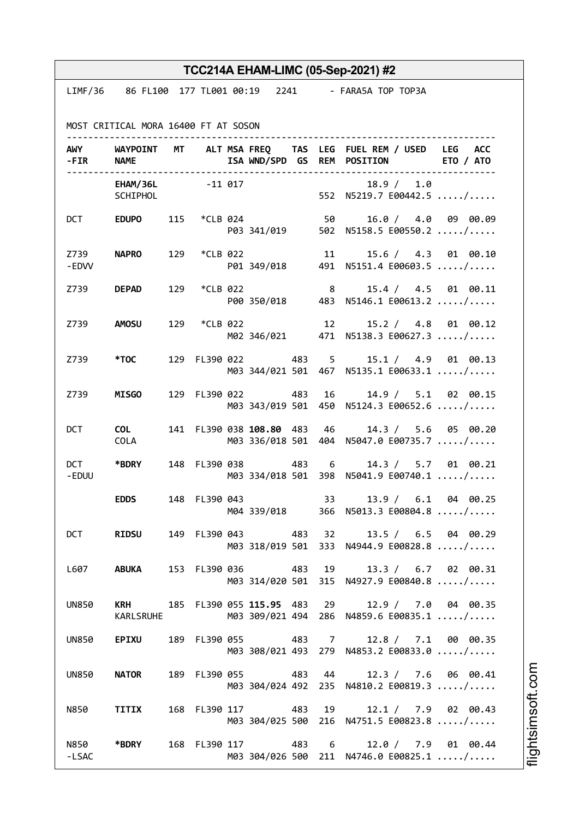|                            |                                                          |     |          |  |                             |     |                         | TCC214A EHAM-LIMC (05-Sep-2021) #2                                                                    |
|----------------------------|----------------------------------------------------------|-----|----------|--|-----------------------------|-----|-------------------------|-------------------------------------------------------------------------------------------------------|
|                            | LIMF/36 86 FL100 177 TL001 00:19 2241 - FARA5A TOP TOP3A |     |          |  |                             |     |                         |                                                                                                       |
|                            |                                                          |     |          |  |                             |     |                         |                                                                                                       |
|                            | MOST CRITICAL MORA 16400 FT AT SOSON                     |     |          |  |                             |     |                         |                                                                                                       |
| -FIR NAME                  |                                                          |     |          |  | .                           |     |                         | AWY WAYPOINT MT ALT MSA FREQ TAS LEG FUEL REM / USED LEG ACC<br>ISA WND/SPD GS REM POSITION ETO / ATO |
|                            | EHAM/36L -11 017<br>SCHIPHOL                             |     |          |  |                             |     |                         | 18.9 / 1.0<br>552 N5219.7 E00442.5 /                                                                  |
|                            | DCT EDUPO                                                |     |          |  | 115 *CLB 024 50             |     |                         | 16.0 / 4.0 09 00.09<br>P03 341/019 502 N5158.5 E00550.2 /                                             |
| Z739 <b>Sand</b><br>- EDVV | <b>NAPRO</b>                                             | 129 | *CLB 022 |  | 11                          |     |                         | 15.6 / 4.3 01 00.10<br>P01 349/018 491 N5151.4 E00603.5 /                                             |
|                            | Z739 <b>DEPAD</b>                                        | 129 | *CLB 022 |  |                             |     | $\overline{\mathbf{8}}$ | 15.4 / 4.5 01 00.11<br>P00 350/018 483 N5146.1 E00613.2 /                                             |
|                            | Z739 AMOSU                                               | 129 | *CLB 022 |  |                             |     | 12                      | 15.2 / 4.8 01 00.12<br>M02 346/021 471 N5138.3 E00627.3 /                                             |
|                            | Z739 * <b>TOC</b>                                        |     |          |  |                             |     |                         | 129 FL390 022 483 5 15.1 / 4.9 01 00.13<br>M03 344/021 501 467 N5135.1 E00633.1 /                     |
| Z739                       | <b>MISGO</b>                                             |     |          |  | 129 FL390 022               | 483 | 16                      | 14.9 / 5.1 02 00.15<br>M03 343/019 501 450 N5124.3 E00652.6 /                                         |
| <b>DCT</b>                 | <b>COL</b><br>COLA                                       |     |          |  | 141 FL390 038 108.80 483 46 |     |                         | 14.3 / 5.6 05 00.20<br>M03 336/018 501 404 N5047.0 E00735.7 /                                         |
| -EDUU                      | DCT *BDRY                                                |     |          |  | 148 FL390 038 483 6         |     |                         | 14.3 / 5.7 01 00.21<br>M03 334/018 501 398 N5041.9 E00740.1 /                                         |
|                            | <b>EDDS</b>                                              |     |          |  |                             |     |                         | 148 FL390 043 33 13.9 / 6.1 04 00.25<br>M04 339/018 366 N5013.3 E00804.8 /                            |
| <b>DCT</b>                 | <b>RIDSU</b>                                             |     |          |  |                             |     |                         | 149 FL390 043 483 32 13.5 / 6.5 04 00.29<br>M03 318/019 501 333 N4944.9 E00828.8 /                    |
| L607 L                     | ABUKA                                                    |     |          |  |                             |     |                         | 153 FL390 036 483 19 13.3 / 6.7 02 00.31<br>M03 314/020 501 315 N4927.9 E00840.8 /                    |
| <b>UN850</b>               | KARLSRUHE                                                |     |          |  |                             |     |                         | KRH 185 FL390 055 115.95 483 29 12.9 / 7.0 04 00.35<br>M03 309/021 494 286 N4859.6 E00835.1 /         |
| <b>UN850</b>               | <b>EPIXU</b>                                             |     |          |  |                             |     |                         | 189 FL390 055 483 7 12.8 / 7.1 00 00.35<br>M03 308/021 493 279 N4853.2 E00833.0 /                     |
| <b>UN850</b>               | <b>NATOR</b>                                             |     |          |  |                             |     |                         | 189 FL390 055 483 44 12.3 / 7.6 06 00.41<br>M03 304/024 492 235 N4810.2 E00819.3 /                    |
|                            | N850 TITIX                                               |     |          |  |                             |     |                         | 168 FL390 117 483 19 12.1 / 7.9 02 00.43<br>M03 304/025 500 216 N4751.5 E00823.8 /                    |
| N850 <b>N</b><br>-LSAC     | *BDRY                                                    |     |          |  |                             |     |                         | 168 FL390 117 483 6 12.0 / 7.9 01 00.44<br>M03 304/026 500 211 N4746.0 E00825.1 /                     |

i⊒<br>⊫ htsim s oft.c o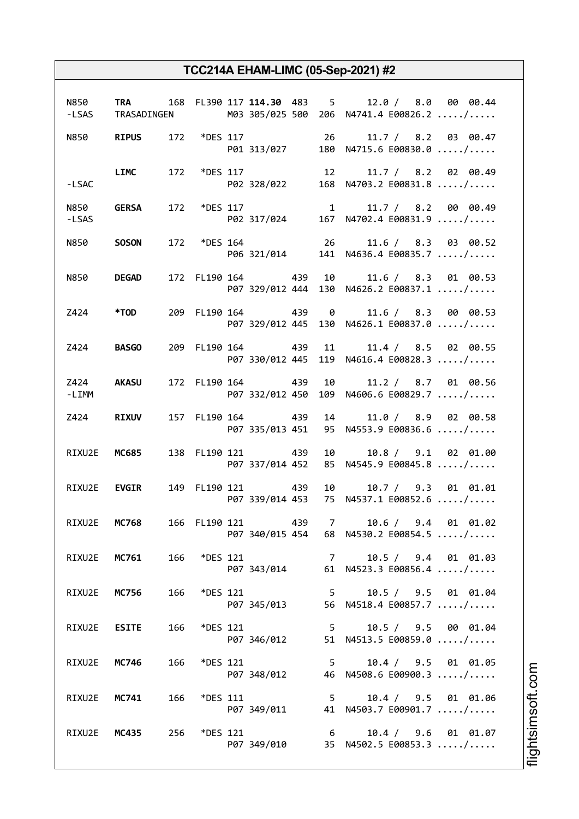|                       |                     |     |                 |                   | N850 TRA 168 FL390 117 114.30 483 5 12.0 / 8.0 00 00.44<br>-LSAS TRASADINGEN M03 305/025 500 206 N4741.4 E00826.2 / |
|-----------------------|---------------------|-----|-----------------|-------------------|---------------------------------------------------------------------------------------------------------------------|
|                       |                     |     |                 |                   | N850 RIPUS 172 *DES 117 26 11.7 / 8.2 03 00.47<br>P01 313/027 180 N4715.6 E00830.0 /                                |
| $-LSAC$               |                     |     |                 |                   | LIMC 172 *DES 117 12 11.7 / 8.2 02 00.49<br>P02 328/022 168 N4703.2 E00831.8 /                                      |
| -LSAS                 | N850 <b>GERSA</b>   |     |                 |                   |                                                                                                                     |
|                       | N850 <b>SOSON</b>   |     |                 |                   | 172 *DES 164 26 11.6 / 8.3 03 00.52<br>P06 321/014 141 N4636.4 E00835.7 /                                           |
|                       | N850 DEGAD          |     |                 |                   | 172 FL190 164 439 10 11.6 / 8.3 01 00.53<br>P07 329/012 444 130 N4626.2 E00837.1 /                                  |
|                       | Z424 *TOD           |     |                 |                   | 209 FL190 164 439 0 11.6 / 8.3 00 00.53<br>P07 329/012 445 130 N4626.1 E00837.0 /                                   |
| Z424 BASGO            |                     |     |                 |                   | 209 FL190 164 439 11 11.4 / 8.5 02 00.55<br>P07 330/012 445 119 N4616.4 E00828.3 /                                  |
| Z424 AKASU<br>$-LIMM$ |                     |     |                 |                   | 172 FL190 164 439 10 11.2 / 8.7 01 00.56<br>P07 332/012 450 109 N4606.6 E00829.7 /                                  |
|                       | Z424 RIXUV          |     |                 | 157 FL190 164 439 | 14 11.0 / 8.9 02 00.58<br>P07 335/013 451 95 N4553.9 E00836.6 /                                                     |
|                       | RIXU2E MC685        |     |                 | 138 FL190 121 439 | 10 10.8 / 9.1 02 01.00<br>P07 337/014 452 85 N4545.9 E00845.8 /                                                     |
|                       | RIXU2E <b>EVGIR</b> |     |                 | 149 FL190 121 439 | 10 10.7 / 9.3 01 01.01<br>P07 339/014 453 75 N4537.1 E00852.6 /                                                     |
| RIXU2E                | <b>MC768</b>        |     |                 | 166 FL190 121 439 | 7 10.6 / 9.4 01 01.02<br>P07 340/015 454 68 N4530.2 E00854.5 /                                                      |
|                       | RIXU2E MC761 166    |     | *DES 121        |                   | 7 10.5 / 9.4 01 01.03<br>P07 343/014 61 N4523.3 E00856.4 /                                                          |
| RIXU2E                | <b>MC756</b>        | 166 | <i>*DES</i> 121 | P07 345/013       | 5 10.5 / 9.5 01 01.04<br>56 N4518.4 E00857.7 /                                                                      |
| RIXU2E                | <b>ESITE</b>        | 166 | <i>*DES</i> 121 | P07 346/012       | 5 10.5 / 9.5 00 01.04<br>51 N4513.5 E00859.0 /                                                                      |
| RIXU2E                | <b>MC746</b>        | 166 | <i>*DES</i> 121 |                   | 5 10.4 / 9.5 01 01.05<br>P07 348/012 46 N4508.6 E00900.3 /                                                          |
|                       | RIXU2E MC741        | 166 | <i>*DES</i> 111 |                   | 5 10.4 / 9.5 01 01.06<br>P07 349/011 41 N4503.7 E00901.7 /                                                          |
| RIXU2E                | MC435 256           |     | *DES 121        |                   | 6 10.4 / 9.6 01 01.07<br>P07 349/010 35 N4502.5 E00853.3 /                                                          |

i⊒<br>⊫ htsim soft.c om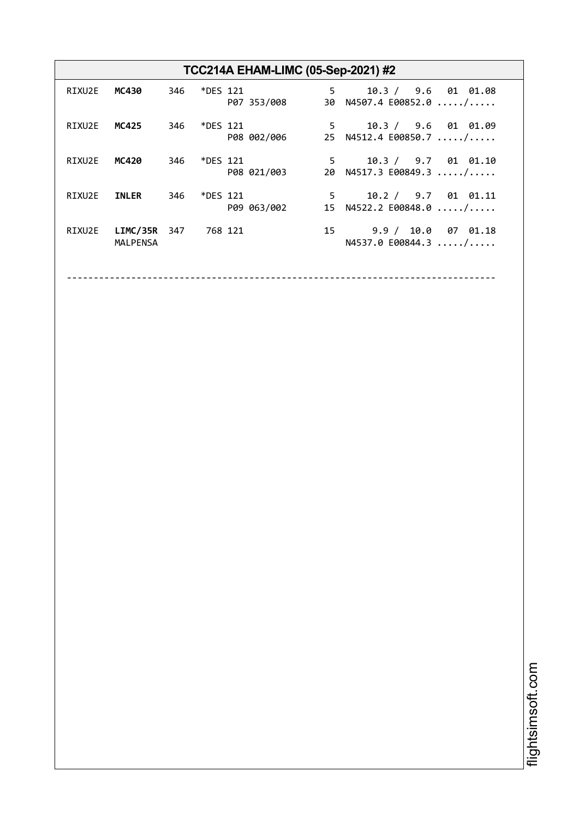| TCC214A EHAM-LIMC (05-Sep-2021) #2 |                             |     |              |             |   |                                                                 |  |
|------------------------------------|-----------------------------|-----|--------------|-------------|---|-----------------------------------------------------------------|--|
| RIXU2E                             | MC430                       |     | 346 *DES 121 | P07 353/008 |   | 10.3 / 9.6 01 01.08<br>$5^{\circ}$<br>30 N4507.4 E00852.0 /     |  |
| RIXU2E                             | MC425                       | 346 | *DES 121     | P08 002/006 |   | $5^{\circ}$<br>10.3 / 9.6 01 01.09<br>25 $N4512.4 E00850.7  / $ |  |
| RIXU2E                             | MC420                       | 346 | *DES 121     | P08 021/003 |   | $5^{\circ}$<br>10.3 / 9.7 01 01.10<br>20 N4517.3 E00849.3 /     |  |
| RIXU2E                             | <b>INLER</b>                | 346 | *DES 121     | P09 063/002 | 5 | 10.2 / 9.7 01 01.11<br>15 $N4522.2 E00848.0  / $                |  |
| RIXU2E                             | LIMC/35R<br><b>MALPENSA</b> | 347 | 768 121      |             |   | 15 9.9 / 10.0 07 01.18<br>N4537.0 E00844.3  /                   |  |

--------------------------------------------------------------------------------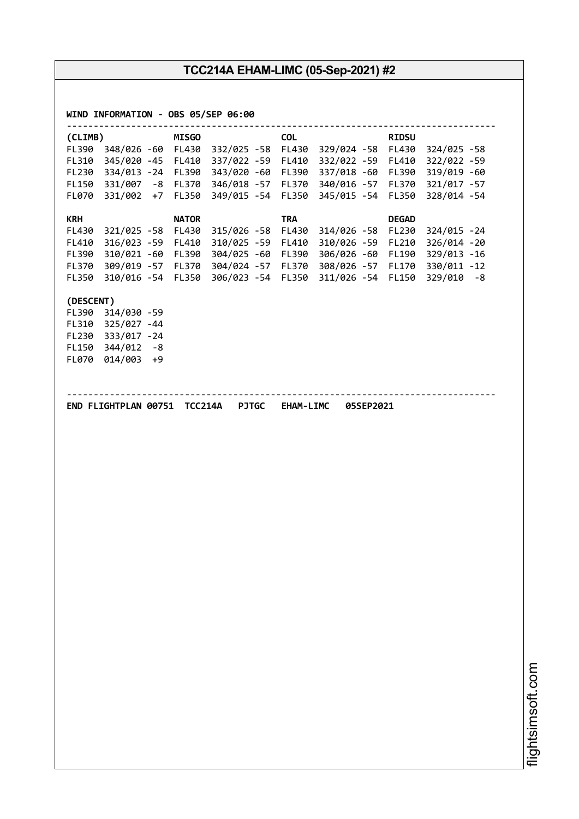| 348/026 -60 FL430 332/025 -58<br>FL430 329/024 -58 FL430<br>324/025 -58<br>345/020 -45 FL410 337/022 -59<br>FL410<br>332/022 -59<br>FL410<br>334/013 -24 FL390<br>343/020 -60<br>FL390<br>337/018 -60<br>FL390<br>331/007 -8 FL370 346/018 -57<br>340/016 -57<br>FL370<br>FL370<br>331/002 +7<br>FL350<br>349/015 - 54<br>FL350<br>FL350<br>FL070<br>345/015 -54<br><b>KRH</b><br><b>TRA</b><br><b>NATOR</b><br><b>DEGAD</b><br>FL430<br>FL230<br>321/025 -58 FL430<br>315/026 -58<br>FL430<br>314/026 -58<br>FL410<br>316/023 -59 FL410<br>310/025 -59<br>FL410<br>310/026 -59<br>FL210<br>310/021 -60 FL390<br>304/025 -60<br>306/026 -60<br>FL390<br>FL390<br>FL190<br>309/019 -57 FL370 304/024 -57<br>308/026 -57<br>FL370<br>FL370<br>FL170<br>FL350<br>310/016 -54 FL350<br>306/023 -54 FL350<br>311/026 -54 FL150<br>(DESCENT)<br>FL390<br>314/030 -59<br>325/027 -44<br>FL310<br>333/017 -24<br>FL230<br>$344/012 - 8$<br><b>FL150</b><br>014/003 +9<br><b>FL070</b><br>END FLIGHTPLAN 00751 TCC214A PJTGC EHAM-LIMC<br>05SEP2021 |               | <b>RIDSU</b> | <b>COL</b> | <b>MISGO</b> | (CLIMB) |
|--------------------------------------------------------------------------------------------------------------------------------------------------------------------------------------------------------------------------------------------------------------------------------------------------------------------------------------------------------------------------------------------------------------------------------------------------------------------------------------------------------------------------------------------------------------------------------------------------------------------------------------------------------------------------------------------------------------------------------------------------------------------------------------------------------------------------------------------------------------------------------------------------------------------------------------------------------------------------------------------------------------------------------------------|---------------|--------------|------------|--------------|---------|
|                                                                                                                                                                                                                                                                                                                                                                                                                                                                                                                                                                                                                                                                                                                                                                                                                                                                                                                                                                                                                                            |               |              |            |              | FL390   |
|                                                                                                                                                                                                                                                                                                                                                                                                                                                                                                                                                                                                                                                                                                                                                                                                                                                                                                                                                                                                                                            | 322/022 -59   |              |            |              | FL310   |
|                                                                                                                                                                                                                                                                                                                                                                                                                                                                                                                                                                                                                                                                                                                                                                                                                                                                                                                                                                                                                                            | 319/019 -60   |              |            |              | FL230   |
|                                                                                                                                                                                                                                                                                                                                                                                                                                                                                                                                                                                                                                                                                                                                                                                                                                                                                                                                                                                                                                            | 321/017 - 57  |              |            |              | FL150   |
|                                                                                                                                                                                                                                                                                                                                                                                                                                                                                                                                                                                                                                                                                                                                                                                                                                                                                                                                                                                                                                            | 328/014 -54   |              |            |              |         |
|                                                                                                                                                                                                                                                                                                                                                                                                                                                                                                                                                                                                                                                                                                                                                                                                                                                                                                                                                                                                                                            |               |              |            |              |         |
|                                                                                                                                                                                                                                                                                                                                                                                                                                                                                                                                                                                                                                                                                                                                                                                                                                                                                                                                                                                                                                            | 324/015 - 24  |              |            |              |         |
|                                                                                                                                                                                                                                                                                                                                                                                                                                                                                                                                                                                                                                                                                                                                                                                                                                                                                                                                                                                                                                            | 326/014 -20   |              |            |              |         |
|                                                                                                                                                                                                                                                                                                                                                                                                                                                                                                                                                                                                                                                                                                                                                                                                                                                                                                                                                                                                                                            | 329/013 -16   |              |            |              |         |
|                                                                                                                                                                                                                                                                                                                                                                                                                                                                                                                                                                                                                                                                                                                                                                                                                                                                                                                                                                                                                                            | 330/011 -12   |              |            |              |         |
|                                                                                                                                                                                                                                                                                                                                                                                                                                                                                                                                                                                                                                                                                                                                                                                                                                                                                                                                                                                                                                            | $329/010 - 8$ |              |            |              |         |
|                                                                                                                                                                                                                                                                                                                                                                                                                                                                                                                                                                                                                                                                                                                                                                                                                                                                                                                                                                                                                                            |               |              |            |              |         |
|                                                                                                                                                                                                                                                                                                                                                                                                                                                                                                                                                                                                                                                                                                                                                                                                                                                                                                                                                                                                                                            |               |              |            |              |         |
|                                                                                                                                                                                                                                                                                                                                                                                                                                                                                                                                                                                                                                                                                                                                                                                                                                                                                                                                                                                                                                            |               |              |            |              |         |
|                                                                                                                                                                                                                                                                                                                                                                                                                                                                                                                                                                                                                                                                                                                                                                                                                                                                                                                                                                                                                                            |               |              |            |              |         |
|                                                                                                                                                                                                                                                                                                                                                                                                                                                                                                                                                                                                                                                                                                                                                                                                                                                                                                                                                                                                                                            |               |              |            |              |         |
|                                                                                                                                                                                                                                                                                                                                                                                                                                                                                                                                                                                                                                                                                                                                                                                                                                                                                                                                                                                                                                            |               |              |            |              |         |
|                                                                                                                                                                                                                                                                                                                                                                                                                                                                                                                                                                                                                                                                                                                                                                                                                                                                                                                                                                                                                                            |               |              |            |              |         |
|                                                                                                                                                                                                                                                                                                                                                                                                                                                                                                                                                                                                                                                                                                                                                                                                                                                                                                                                                                                                                                            |               |              |            |              |         |
|                                                                                                                                                                                                                                                                                                                                                                                                                                                                                                                                                                                                                                                                                                                                                                                                                                                                                                                                                                                                                                            |               |              |            |              |         |
|                                                                                                                                                                                                                                                                                                                                                                                                                                                                                                                                                                                                                                                                                                                                                                                                                                                                                                                                                                                                                                            |               |              |            |              |         |
|                                                                                                                                                                                                                                                                                                                                                                                                                                                                                                                                                                                                                                                                                                                                                                                                                                                                                                                                                                                                                                            |               |              |            |              |         |
|                                                                                                                                                                                                                                                                                                                                                                                                                                                                                                                                                                                                                                                                                                                                                                                                                                                                                                                                                                                                                                            |               |              |            |              |         |
|                                                                                                                                                                                                                                                                                                                                                                                                                                                                                                                                                                                                                                                                                                                                                                                                                                                                                                                                                                                                                                            |               |              |            |              |         |
|                                                                                                                                                                                                                                                                                                                                                                                                                                                                                                                                                                                                                                                                                                                                                                                                                                                                                                                                                                                                                                            |               |              |            |              |         |
|                                                                                                                                                                                                                                                                                                                                                                                                                                                                                                                                                                                                                                                                                                                                                                                                                                                                                                                                                                                                                                            |               |              |            |              |         |
|                                                                                                                                                                                                                                                                                                                                                                                                                                                                                                                                                                                                                                                                                                                                                                                                                                                                                                                                                                                                                                            |               |              |            |              |         |
|                                                                                                                                                                                                                                                                                                                                                                                                                                                                                                                                                                                                                                                                                                                                                                                                                                                                                                                                                                                                                                            |               |              |            |              |         |
|                                                                                                                                                                                                                                                                                                                                                                                                                                                                                                                                                                                                                                                                                                                                                                                                                                                                                                                                                                                                                                            |               |              |            |              |         |
|                                                                                                                                                                                                                                                                                                                                                                                                                                                                                                                                                                                                                                                                                                                                                                                                                                                                                                                                                                                                                                            |               |              |            |              |         |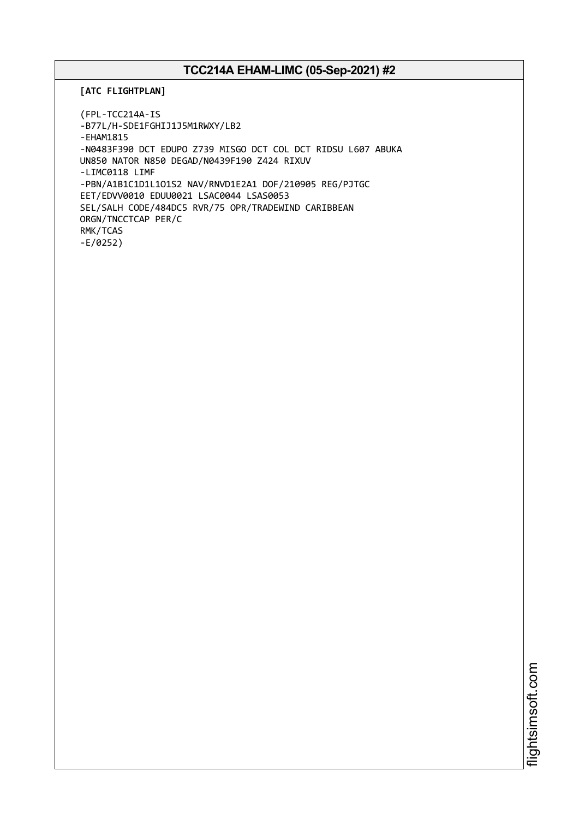**[ATC FLIGHTPLAN]**

(FPL-TCC214A-IS -B77L/H-SDE1FGHIJ1J5M1RWXY/LB2 -EHAM1815 -N0483F390 DCT EDUPO Z739 MISGO DCT COL DCT RIDSU L607 ABUKA UN850 NATOR N850 DEGAD/N0439F190 Z424 RIXUV -LIMC0118 LIMF -PBN/A1B1C1D1L1O1S2 NAV/RNVD1E2A1 DOF/210905 REG/PJTGC EET/EDVV0010 EDUU0021 LSAC0044 LSAS0053 SEL/SALH CODE/484DC5 RVR/75 OPR/TRADEWIND CARIBBEAN ORGN/TNCCTCAP PER/C RMK/TCAS -E/0252)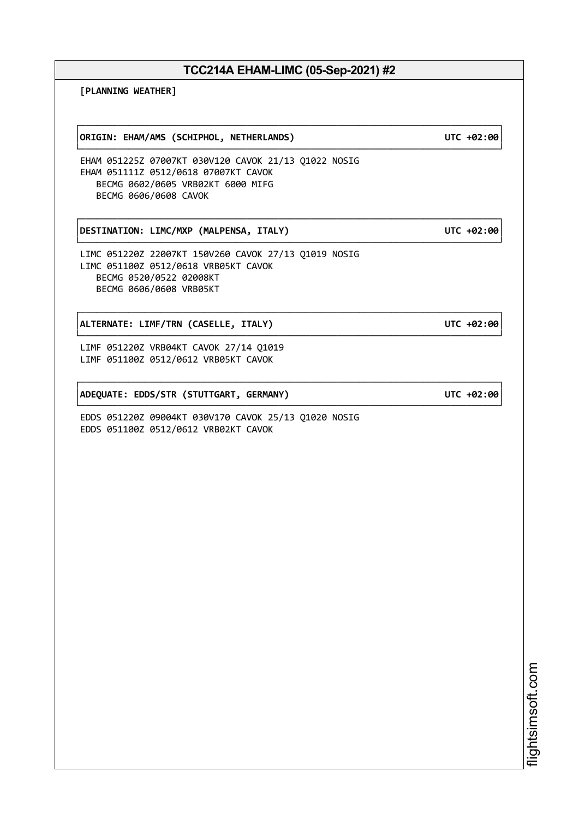┌──────────────────────────────────────────────────────────────────────────────┐

└──────────────────────────────────────────────────────────────────────────────┘

┌──────────────────────────────────────────────────────────────────────────────┐

**[PLANNING WEATHER]**

┌──────────────────────────────────────────────────────────────────────────────┐ │**ORIGIN: EHAM/AMS (SCHIPHOL, NETHERLANDS) UTC +02:00**│

EHAM 051225Z 07007KT 030V120 CAVOK 21/13 Q1022 NOSIG EHAM 051111Z 0512/0618 07007KT CAVOK BECMG 0602/0605 VRB02KT 6000 MIFG BECMG 0606/0608 CAVOK

┌──────────────────────────────────────────────────────────────────────────────┐ │**DESTINATION: LIMC/MXP (MALPENSA, ITALY) UTC +02:00**│

LIMC 051220Z 22007KT 150V260 CAVOK 27/13 Q1019 NOSIG LIMC 051100Z 0512/0618 VRB05KT CAVOK BECMG 0520/0522 02008KT BECMG 0606/0608 VRB05KT

│**ALTERNATE: LIMF/TRN (CASELLE, ITALY) UTC +02:00**│

LIMF 051220Z VRB04KT CAVOK 27/14 Q1019 LIMF 051100Z 0512/0612 VRB05KT CAVOK

│**ADEQUATE: EDDS/STR (STUTTGART, GERMANY) UTC +02:00**│

EDDS 051220Z 09004KT 030V170 CAVOK 25/13 Q1020 NOSIG EDDS 051100Z 0512/0612 VRB02KT CAVOK

> i⊒<br>⊫ htsim soft.c om

## └──────────────────────────────────────────────────────────────────────────────┘

└──────────────────────────────────────────────────────────────────────────────┘

└──────────────────────────────────────────────────────────────────────────────┘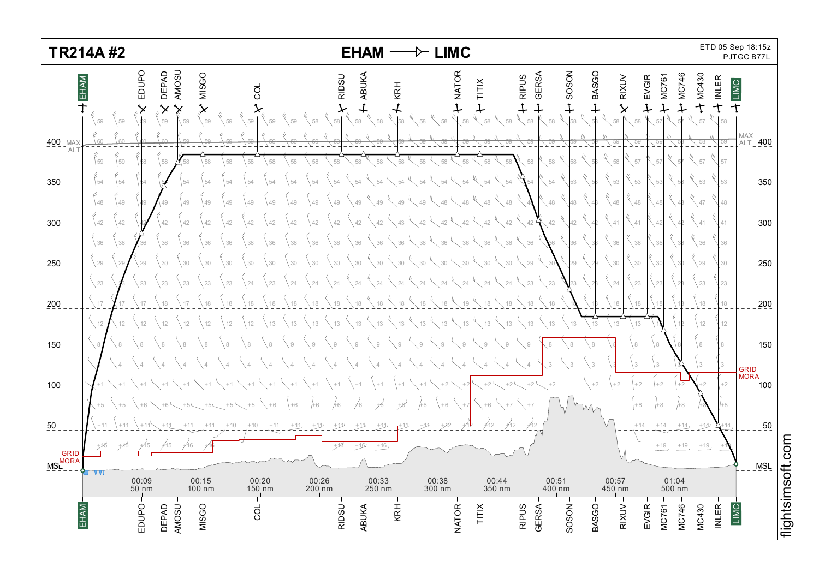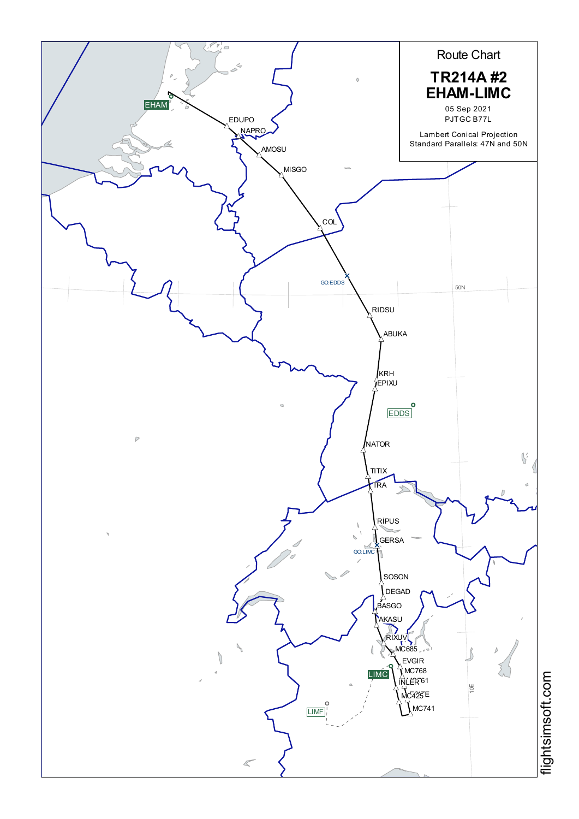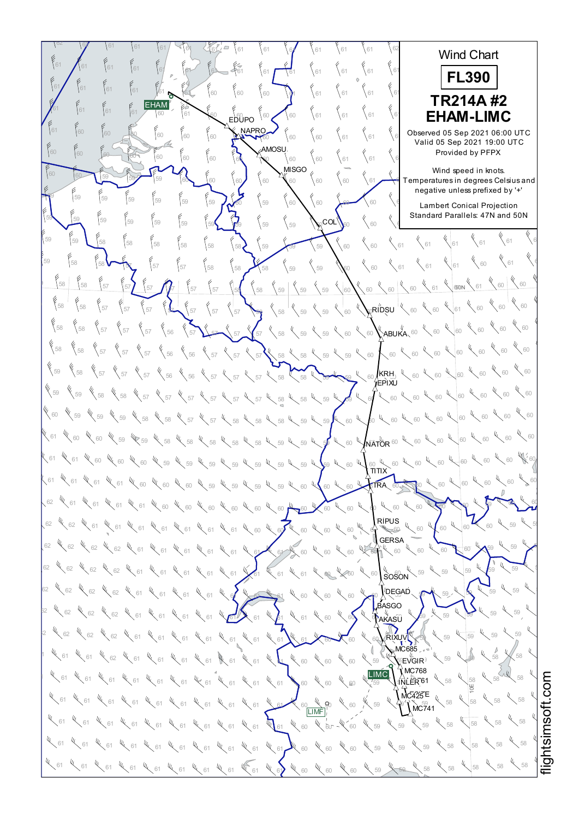$\frac{62}{52}$  61 61 61 61 62 62 62 62 Wind Chart  $^{61}$   $\bigwedge^{61}$   $^{61}$   $^{61}$   $^{61}$   $^{61}$   $^{61}$   $^{62}$   $^{63}$   $^{63}$   $^{61}$   $^{61}$   $^{61}$   $^{61}$   $^{61}$   $^{61}$   $^{61}$   $^{61}$   $^{61}$   $^{61}$ 62 62 62 **FL390** <sup>61</sup> <sup>61</sup> <sup>62</sup> <sup>61</sup> <sup>61</sup> <sup>60</sup> <sup>60</sup> <sup>60</sup> <sup>61</sup> <sup>61</sup> <sup>61</sup> <sup>61</sup> <sup>61</sup> <sup>61</sup> <sup>61</sup> <sup>61</sup> <sup>62</sup> <sup>62</sup> <sup>62</sup> **TR214A #2** EHAM<sup>®</sup>  $^{61}$   $^{61}$   $^{61}$   $^{61}$   $^{60}$   $^{61}$   $^{60}$   $^{60}$   $^{60}$   $^{60}$   $^{60}$   $^{60}$   $^{61}$   $^{61}$   $^{61}$   $^{61}$   $\bullet$   $\bullet$   $\bullet$ <sup>62</sup> <sup>62</sup> <sup>62</sup> **EHAM-LIMC** EDUPO **NAPRO**  $\frac{61}{60}$   $\begin{bmatrix} 60\\ 60 \end{bmatrix}$   $\begin{bmatrix} 60\\ 60 \end{bmatrix}$   $\begin{bmatrix} 60\\ 60 \end{bmatrix}$   $\begin{bmatrix} 60\\ 60 \end{bmatrix}$   $\begin{bmatrix} 60\\ 60 \end{bmatrix}$   $\begin{bmatrix} 60\\ 61 \end{bmatrix}$   $\begin{bmatrix} 61\\ 61 \end{bmatrix}$   $\begin{bmatrix} 61\\ 61 \end{bmatrix}$   $\begin{bmatrix} 60\\ 61 \end{bmatrix}$   $\begin{bmatrix} 105$ Observed 05 Sep 2021 06:00 UTC Valid 05 Sep 2021 19:00 UTC AMOSU 60 60 60 60 60 60 60 60 60 60 60 60 61 61 61 61 **Provi** Provided by PFPX  $\mathbf{M}^{\text{MISGO}}$ Wind speed in knots.  $\frac{60}{10}$   $\frac{60}{10}$   $\frac{60}{100}$   $\frac{60}{100}$   $\frac{60}{100}$   $\frac{60}{100}$   $\frac{60}{100}$   $\frac{60}{100}$   $\frac{60}{100}$   $\frac{60}{100}$   $\frac{60}{100}$   $\frac{60}{100}$   $\frac{60}{100}$   $\frac{60}{100}$   $\frac{60}{100}$   $\frac{60}{100}$   $\frac{60}{100}$   $\$ which speed in Nicia.<br>Temperatures in degrees Celsius and negative unless prefixed by '+'  $\frac{69}{10}$  59  $\frac{59}{59}$   $\frac{69}{59}$   $\frac{69}{59}$   $\frac{60}{59}$   $\frac{60}{59}$   $\frac{60}{59}$   $\frac{60}{59}$   $\frac{60}{59}$   $\frac{60}{59}$ ر<br>Lambert Conical Projection Standard Parallels: 47N and 50N  $\frac{55}{59}$  59 59 59 59 59 59 59 59  $\frac{2}{59}$  59  $\frac{2}{59}$  59  $\frac{2}{59}$   $\frac{2}{59}$   $\frac{2}{59}$   $\frac{2}{59}$   $\frac{2}{59}$   $\frac{2}{59}$   $\frac{2}{59}$   $\frac{2}{59}$   $\frac{2}{59}$   $\frac{2}{59}$   $\frac{2}{59}$   $\frac{2}{59}$   $\frac{2}{59}$   $\frac{2}{59}$   $\frac$  $_{\rm COL}$  $^{\prime}$  $\leftarrow$  61  $\leftarrow$  61 <sup>61</sup> <sup>61</sup> <sup>61</sup> <sup>58</sup> <sup>58</sup> <sup>58</sup> <sup>58</sup> <sup>59</sup> <sup>59</sup> <sup>59</sup> <sup>60</sup> <sup>60</sup> <sup>58</sup> <sup>58</sup> <sup>59</sup> <sup>59</sup>  $4\frac{1}{60}$   $4\frac{1}{61}$ <sup>61</sup> <sup>61</sup> <sup>57</sup> <sup>57</sup> <sup>58</sup> <sup>58</sup> <sup>58</sup> <sup>59</sup> <sup>59</sup> <sup>60</sup> <sup>60</sup> <sup>61</sup> <sup>58</sup> <sup>57</sup> <sup>59</sup> <sup>58</sup>  $60 \times 60$  $\frac{1}{68}$  58 58 57 57 57  $\frac{1}{67}$   $\frac{1}{67}$   $\frac{1}{67}$   $\frac{1}{67}$   $\frac{1}{67}$   $\frac{1}{67}$   $\frac{1}{67}$   $\frac{1}{67}$   $\frac{1}{67}$   $\frac{1}{67}$   $\frac{1}{67}$   $\frac{1}{67}$   $\frac{1}{67}$   $\frac{1}{67}$   $\frac{1}{67}$   $\frac{1}{67}$   $\frac{1}{67}$   $\frac{1}{67$  $80N$ 60  $\frac{1}{60}$  60  $\frac{1}{60}$  58 58 57  $\frac{1}{37}$   $\frac{1}{37}$   $\frac{1}{37}$   $\frac{1}{37}$   $\frac{1}{37}$   $\frac{1}{38}$   $\frac{1}{38}$   $\frac{1}{39}$   $\frac{1}{39}$   $\frac{1}{39}$   $\frac{1}{39}$   $\frac{1}{39}$   $\frac{1}{39}$   $\frac{1}{39}$   $\frac{1}{39}$   $\frac{1}{39}$   $\frac{1}{39}$   $\frac{1}{39}$   $\frac$  $\zeta$ RIDSU  $^{|\psi\rangle}$  $60 \times 60$  $^{58}$   $\{57\}$   $\{57\}$   $\{57\}$   $\{56\}$   $\{57\}$   $\{57\}$   $\{57\}$   $\{58\}$   $\{59\}$   $\{59\}$   $\{60\}$   $\{ABUKA, 60\}$   $\{60\}$  $\sqrt[6]{\frac{60}{100}}$  $^{58}$   $\{58$   $\{57$   $\}$   $57$   $\{57$   $\}$   $56$   $\{56$   $\{57\}$   $\{57\}$   $\{57\}$   $\{58\}$   $\{58\}$   $\{59\}$   $\{59\}$   $\{60\}$   $\{60\}$   $\{60\}$   $\{60\}$  $\chi$  60 59  $\left\{58\right\}$   $\left\{57\right\}$   $\left\{57\right\}$   $\left\{57\right\}$   $\left\{56\right\}$   $\left\{57\right\}$   $\left\{57\right\}$   $\left\{57\right\}$   $\left\{58\right\}$   $\left\{58\right\}$   $\left\{58\right\}$   $\left\{58\right\}$   $\left\{58\right\}$   $\left\{60\right\}$   $\left\{50\right\}$   $\left\{60\right\}$   $\left\{60\right\$  $\,$ krh $,~^{\ell}$ EPIXU 60 4 60 59  $\%$  50  $\%$  58  $\%$  57  $\%$  57  $\%$  57  $\%$  57  $\%$  57  $\%$  58  $\%$  58  $\%$  59  $\%$  59  $\%$  60  $\%$  60  $\%$  60  $\%$  60  $\%$  60  $\%$  60  $\%$  60  $\%$  60  $\%$  60  $\%$  60  $\%$  60  $\%$  60  $\%$  60  $\%$  60  $\%$  60  $\%$  60  $\$  $60 \frac{4}{60}$  60  $\frac{4}{60}$ 60  $\,$  59  $\,$   $\,$  59  $\,$   $\,$  59  $\,$   $\,$   $\,$  58  $\,$   $\,$   $\,$  58  $\,$   $\,$  58  $\,$  58  $\,$   $\,$  59  $\,$  59  $\,$  59  $\,$   $\,$  50  $\,$  50  $\,$  50  $\,$  50  $\,$  50  $\,$  50  $\,$  50  $\,$  50  $\,$  50  $\,$  50  $\,$  50  $\,$   $60 \frac{1}{60}$  60  $\frac{1}{60}$  60 61  $\chi$  60  $\chi$  60  $\chi$  59  $\chi$  59  $\chi$  58  $\chi$  58  $\chi$  58  $\chi$  58  $\chi$  58  $\chi$  59  $\chi$  59  $\chi$  59  $\chi$  60  $\chi$  60  $\chi$  60  $\chi$  60  $\chi$  60  $\chi$  60  $\chi$  60  $\chi$  60  $\chi$  60  $\chi$  60  $\chi$  60  $\chi$  60  $\chi$  60  $\chi$  60  $\chi$  60  $\$ **NATOR** <sup>60</sup> 60 W 60 61  $\ll$  61  $\ll$  60  $\ll$  60  $\ll$  60  $\ll$  60  $\ll$  69  $\ll$  60  $\ll$  60  $\ll$  60  $\ll$  60  $\ll$  60  $\ll$  60  $\ll$  60  $\ll$  60  $\ll$  60  $\ll$  60  $\ll$  60  $\ll$  60  $\ll$  60  $\ll$  60  $\ll$  60  $\ll$  60  $\ll$  60  $\ll$  60  $\ll$  60  $\ll$  60  $\ll$  60  $\$  $\frac{60}{\pi}$ X 60 61  $\ll$  61  $\ll$  61  $\ll$  61  $\ll$  60  $\ll$  60  $\ll$  60  $\ll$  60  $\ll$  60  $\ll$  60  $\ll$  60  $\ll$  60  $\ll$  60  $\ll$  60  $\ll$  60  $\ll$  60  $\ll$  60  $\ll$  60  $\ll$  60  $\ll$  60  $\ll$  60  $\ll$  60  $\ll$  60  $\ll$  60  $\ll$  60  $\ll$  60  $\ll$  60  $\ll$  60  $\$ TRA 62  $\chi$  61  $\chi$  61  $\chi$  61  $\chi$  61  $\chi$  60  $\chi$  60  $\chi$  60  $\chi$  60  $\chi$  60  $\chi$  60  $\chi$  60  $\chi$  60  $\chi$  60  $\chi$  60  $\chi$  60  $\chi$  60  $\chi$  60  $\chi$  60  $\chi$  60  $\chi$  60  $\chi$  60  $\chi$  60  $\chi$  60  $\chi$  60  $\chi$  60  $\chi$  60  $\chi$  60  $\$  $60 - 60$ RIPUS<br>} 60 62  $\ll$  62  $\ll$  61  $\ll$  61  $\ll$  61  $\ll$  61  $\ll$  61  $\ll$  61  $\ll$  61  $\ll$  61  $\ll$  60  $\ll$  60  $\ll$  60  $\ll$  60  $\ll$  60  $\ll$  60  $\ll$  60  $\ll$  60  $\ll$  60  $\ll$  60 **GERSA** 62  $\ll$  62  $\ll$  62  $\ll$  62  $\ll$  61  $\ll$  61  $\ll$  61  $\ll$  61  $\ll$  61  $\ll$  61  $\ll$  61  $\ll$  60  $\ll$  60  $\ll$  60  $\ll$  60  $\ll$  60  $\ll$  60  $\ll$  60  $\ll$  60  $\ll$  60  $\ll$  60  $\ll$  60  $\ll$  60  $\ll$  60  $\ll$  60  $\ll$  60  $\ll$  60  $\ll$  60  $\$  $59 \times 59 \times$ tı. **IL**<br>SOSON  $52$   $\%$   $52$   $\%$   $52$   $\%$   $53$   $\%$   $51$   $\%$   $51$   $\%$   $51$   $\%$   $51$   $\%$   $51$   $\%$   $51$   $\%$   $51$   $\%$   $52$   $\%$   $53$   $\%$   $55$   $\%$   $55$   $\%$   $52$   $\%$   $53$   $\%$   $55$  $59 - 59$ 62  $\sqrt{62}$   $\sqrt{62}$   $\sqrt{62}$   $\sqrt{61}$   $\sqrt{61}$   $\sqrt{61}$   $\sqrt{61}$   $\sqrt{61}$   $\sqrt{61}$   $\sqrt{61}$   $\sqrt{61}$   $\sqrt{61}$   $\sqrt{61}$   $\sqrt{61}$   $\sqrt{61}$   $\sqrt{61}$   $\sqrt{61}$   $\sqrt{61}$   $\sqrt{61}$   $\sqrt{61}$   $\sqrt{61}$   $\sqrt{61}$   $\sqrt{61}$   $\sqrt{61}$   $\$ DEGAD  $59 \times 59$ **ASGO** ric∼<br>AKASÛ  $52$   $\%$  62  $\%$  62  $\%$  62  $\%$  61  $\%$  61  $\%$  61  $\%$  61  $\%$  61  $\%$  61  $\%$  61  $\%$  61  $\%$  60  $\%$  60  $\%$  60  $\%$  60  $\%$  60  $\%$  60  $\%$  60  $\%$  60  $\%$  60  $\%$  60  $\%$  60  $\%$  60  $\%$  60  $\%$  60  $\%$  60  $\%$  60 59 59  $^{12}$   $^{13}$  62  $^{14}$  62  $^{14}$  62  $^{14}$  61  $^{14}$  61  $^{14}$  61  $^{14}$  61  $^{14}$  61  $^{14}$  61  $^{14}$  61  $^{14}$  61  $^{14}$  61  $^{14}$  61  $^{14}$  61  $^{14}$  61  $^{14}$  61  $^{14}$  61  $^{14}$  61  $^{14}$  61  $^{14}$  61  $^{14}$  62  $^{14$ **RIXUVV**  $59$  $MC685$ 58 58  $\frac{1}{2}$   $\frac{1}{2}$   $\frac{1}{2}$   $\frac{1}{2}$   $\frac{1}{2}$   $\frac{1}{2}$   $\frac{1}{2}$   $\frac{1}{2}$   $\frac{1}{2}$   $\frac{1}{2}$   $\frac{1}{2}$   $\frac{1}{2}$   $\frac{1}{2}$   $\frac{1}{2}$   $\frac{1}{2}$   $\frac{1}{2}$   $\frac{1}{2}$   $\frac{1}{2}$   $\frac{1}{2}$   $\frac{1}{2}$   $\frac{1}{2}$   $\frac{1}{2}$   $\stackrel{U}{\mathbb{E}}$ VGIR $\stackrel{U}{\rightarrow}$  $X$ MC768 LIMC  $\frac{1}{2}$  59  $\frac{1}{2}$  61  $\frac{1}{2}$  61  $\frac{1}{2}$  61  $\frac{1}{2}$  61  $\frac{1}{2}$  61  $\frac{1}{2}$  61  $\frac{1}{2}$  61  $\frac{1}{2}$  61  $\frac{1}{2}$  61  $\frac{1}{2}$  61  $\frac{1}{2}$  61  $\frac{1}{2}$  68  $\frac{1}{2}$  61  $\frac{1}{2}$  62  $\frac{1}{2}$  62  $\frac{1}{2}$  62 58 58 INLER<sup>61</sup> 10E  $MC425E$ 58 K 58  $\frac{1}{58}$  61  $\frac{1}{58}$  61  $\frac{1}{58}$  61  $\frac{1}{58}$   $\frac{1}{58}$   $\frac{1}{58}$   $\frac{1}{58}$   $\frac{1}{58}$   $\frac{1}{58}$   $\frac{1}{58}$   $\frac{1}{58}$   $\frac{1}{58}$   $\frac{1}{58}$   $\frac{1}{58}$   $\frac{1}{58}$   $\frac{1}{58}$   $\frac{1}{58}$   $\frac{1}{58}$   $\frac{1}{58}$   $\frac$  $\sqrt{\text{MC}}$ 741 W<sub>60</sub> W 58 4 58  $^{61}$   $^{61}$   $^{61}$   $^{61}$   $^{61}$   $^{61}$   $^{61}$   $^{61}$   $^{61}$   $^{61}$   $^{61}$   $^{61}$   $^{61}$   $^{61}$   $^{61}$   $^{61}$   $^{61}$   $^{61}$   $^{61}$   $^{61}$   $^{61}$   $^{61}$   $^{61}$   $^{61}$   $^{61}$   $^{61}$   $^{61}$   $^{61}$   $^{61}$   $^{61}$   $^{61}$   $^{61$ 58 <u>W</u> 58  $^{61}$   $^{61}$   $^{61}$   $^{61}$   $^{61}$   $^{61}$   $^{61}$   $^{61}$   $^{61}$   $^{61}$   $^{61}$   $^{61}$   $^{61}$   $^{61}$   $^{61}$   $^{61}$   $^{61}$   $^{61}$   $^{61}$   $^{61}$   $^{61}$   $^{61}$   $^{61}$   $^{61}$   $^{61}$   $^{61}$   $^{61}$   $^{61}$   $^{61}$   $^{61}$   $^{61}$   $^{61$ <sup>58</sup> <sup>58</sup> <sup>58</sup> <sup>61</sup> <sup>61</sup> <sup>61</sup> <sup>61</sup> <sup>61</sup> <sup>61</sup> <sup>61</sup> <sup>60</sup> <sup>60</sup> <sup>60</sup> <sup>59</sup> <sup>59</sup> <sup>61</sup> <sup>61</sup> <sup>61</sup>  $44.58$   $4.58$   $4.58$ 处

i≣ htsim soft.c o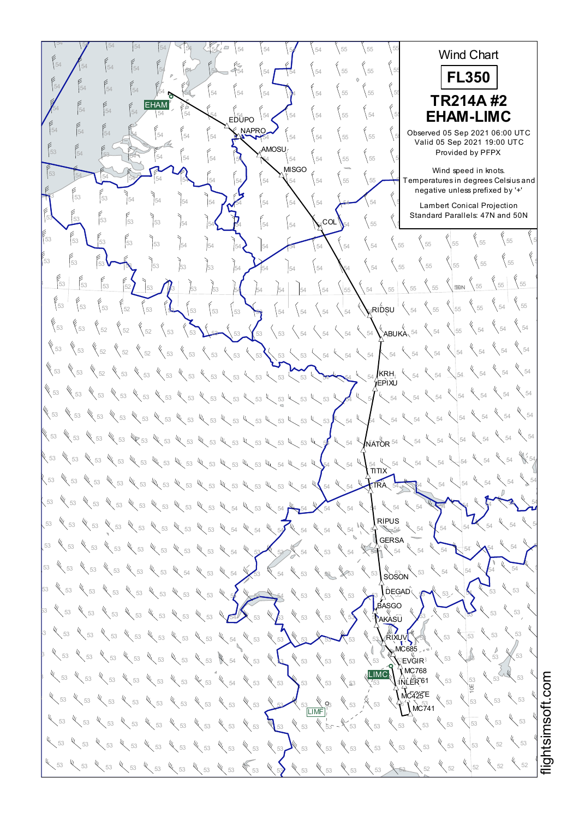$54$   $\begin{bmatrix} 54 & 54 & 54 \end{bmatrix}$   $\begin{bmatrix} 54 & 54 \end{bmatrix}$   $\begin{bmatrix} 54 & 54 \end{bmatrix}$   $\begin{bmatrix} 54 & 54 \end{bmatrix}$   $\begin{bmatrix} 54 & 5 \end{bmatrix}$   $\begin{bmatrix} 55 & 55 \end{bmatrix}$   $\begin{bmatrix} 55 & 5 \end{bmatrix}$ 55 56 55 Wind Chart 54  $\bigwedge$  54  $\bigcup$  54  $\bigcup$  54  $\bigcup$  54  $\bigcup$  54  $\bigcup$  54  $\bigcup$  55  $\bigcup$  55  $\bigcup$  55 55 55 55 **FL350** <sup>55</sup> <sup>55</sup> <sup>55</sup> <sup>54</sup> <sup>54</sup> <sup>54</sup> <sup>54</sup> <sup>54</sup> <sup>54</sup> <sup>54</sup> <sup>55</sup> <sup>55</sup> <sup>54</sup> <sup>54</sup> <sup>54</sup> <sup>54</sup> <sup>55</sup> <sup>55</sup> <sup>55</sup> **TR214A #2** EHAM  $54$  54  $\begin{bmatrix} 54 \end{bmatrix}$   $54$   $\begin{bmatrix} 54 \end{bmatrix}$   $54$   $\begin{bmatrix} 54 \end{bmatrix}$   $54$   $\begin{bmatrix} 54 \end{bmatrix}$   $54$   $\begin{bmatrix} 54 \end{bmatrix}$   $55$   $\begin{bmatrix} 54 \end{bmatrix}$   $56$   $\begin{bmatrix} 54 \end{bmatrix}$   $56$ <sup>55</sup> <sup>55</sup> <sup>55</sup> **EHAM-LIMC** EDUPO NAPRO  $54$   $\begin{bmatrix} 54 \end{bmatrix}$   $\begin{bmatrix} 54 \end{bmatrix}$   $\begin{bmatrix} 54 \end{bmatrix}$   $\begin{bmatrix} 54 \end{bmatrix}$   $\begin{bmatrix} 54 \end{bmatrix}$   $\begin{bmatrix} 54 \end{bmatrix}$   $\begin{bmatrix} 54 \end{bmatrix}$   $\begin{bmatrix} 54 \end{bmatrix}$   $\begin{bmatrix} 54 \end{bmatrix}$   $\begin{bmatrix} 55 \end{bmatrix}$   $\begin{bmatrix} 55 \end{bmatrix}$   $\begin{bmatrix} 55 \end{bmatrix}$  Observed 05 Sep 2021 06:00 UTC Valid 05 Sep 2021 19:00 UTC AMOSU <sup>55</sup> <sup>55</sup> <sup>55</sup> <sup>54</sup> <sup>54</sup> <sup>54</sup> <sup>54</sup> <sup>54</sup> <sup>54</sup> <sup>54</sup> <sup>55</sup> <sup>55</sup> <sup>53</sup> <sup>54</sup> <sup>53</sup> <sup>54</sup> Provided by PFPX **MISGO** Wind speed in knots.  $\frac{53}{54}$   $\frac{54}{54}$   $\frac{54}{54}$   $\frac{54}{54}$   $\frac{54}{54}$   $\frac{54}{54}$   $\frac{12}{54}$   $\frac{12}{54}$   $\frac{12}{54}$   $\frac{12}{54}$   $\frac{12}{54}$  Temperatures which speed in Nicks.<br>Temperatures in degrees Celsius and negative unless prefixed by '+' <sup>55</sup> <sup>55</sup> <sup>55</sup> <sup>54</sup> <sup>54</sup> <sup>54</sup> <sup>54</sup> <sup>54</sup> <sup>54</sup> <sup>54</sup> <sup>54</sup> <sup>54</sup> <sup>53</sup> <sup>54</sup> <sup>53</sup> <sup>53</sup> ر<br>Lambert Conical Projection Standard Parallels: 47N and 50N <sup>55</sup> <sup>55</sup> <sup>53</sup> <sup>54</sup> <sup>54</sup> <sup>54</sup> <sup>54</sup> <sup>54</sup> <sup>54</sup> <sup>54</sup> <sup>55</sup> <sup>55</sup> <sup>53</sup> <sup>53</sup> <sup>53</sup> <sup>53</sup>  $_{\mathsf{COL}}$  $\left\{ \right._{55} \quad \left\{ \right._{55}$ <sup>55</sup> <sup>55</sup> <sup>55</sup> <sup>53</sup> <sup>54</sup> <sup>54</sup> <sup>54</sup> <sup>54</sup> <sup>54</sup> <sup>54</sup> <sup>54</sup> <sup>54</sup> <sup>53</sup> <sup>53</sup> <sup>53</sup> <sup>53</sup>  $rac{6}{55}$  55 <sup>55</sup> <sup>55</sup> <sup>53</sup> <sup>53</sup> <sup>53</sup> <sup>54</sup> <sup>54</sup> <sup>54</sup> <sup>54</sup> <sup>54</sup> <sup>54</sup> <sup>55</sup> <sup>53</sup> <sup>53</sup> <sup>53</sup> <sup>53</sup>  $55 \Big| \begin{array}{c} 6 \\ 55 \end{array}$ 53 53 53 52 53 53 53 53 54 54 54 54 54 54 55 54 55 55 53 50N  $54 \times 55$  $\frac{1}{53}$  53  $\frac{5}{52}$  53  $\frac{6}{53}$  53  $\frac{5}{53}$  53  $\frac{5}{53}$  54  $\frac{1}{54}$   $\frac{1}{54}$   $\frac{1}{54}$   $\frac{1}{54}$   $\frac{1}{54}$   $\frac{1}{54}$   $\frac{1}{54}$   $\frac{1}{55}$   $\frac{1}{55}$  $_4$ RIDSU $^+$  $\chi$  54 53  $\{53 \}$   $\{52 \}$   $\{52 \}$   $\{53 \}$   $\{53 \}$   $\{53 \}$   $\{53 \}$   $\{53 \}$   $\{54 \}$   $\{54 \}$   $\{54 \}$   $\{54 \}$   $\{54 \}$   $\{54 \}$   $\{55 \}$  $\left\langle \right\rangle$  54 53  $\begin{bmatrix} 53 & \times 52 \end{bmatrix}$  52  $\begin{bmatrix} 52 & \times 52 \end{bmatrix}$  53  $\begin{bmatrix} 53 & \times 53 \end{bmatrix}$  53  $\begin{bmatrix} 53 & \times 53 \end{bmatrix}$  54  $\begin{bmatrix} 54 & \times 54 \end{bmatrix}$  54  $\begin{bmatrix} 54 & \times 54 \end{bmatrix}$  54  $\begin{bmatrix} 54 & \times 54 \end{bmatrix}$  $\chi$ <sub>54</sub> 53  $\frac{1}{53}$   $\frac{1}{53}$   $\frac{1}{53}$   $\frac{1}{53}$   $\frac{1}{53}$   $\frac{1}{53}$   $\frac{1}{53}$   $\frac{1}{53}$ KRH EPIXU <sup>54</sup> <sup>54</sup> <sup>54</sup> <sup>53</sup> <sup>53</sup> <sup>53</sup> <sup>53</sup> <sup>53</sup> <sup>53</sup> <sup>53</sup> <sup>53</sup> <sup>53</sup> <sup>54</sup> <sup>54</sup> <sup>54</sup> <sup>53</sup> <sup>53</sup> <sup>53</sup> <sup>53</sup>  $\chi$  54 WE 53 WE 53 WE 53 WE 53 WE 53 WE 53 WE 53 WE 53 WE 53 WE 53 WE 54 YEAR 54 WE 54 WE 54  $\sqrt{54}$ <sup>54</sup> <sup>54</sup> <sup>54</sup> <sup>53</sup> <sup>53</sup> <sup>53</sup> <sup>53</sup> <sup>53</sup> <sup>53</sup> <sup>53</sup> <sup>53</sup> <sup>54</sup> <sup>54</sup> <sup>54</sup> <sup>54</sup> <sup>53</sup> <sup>53</sup> <sup>53</sup> <sup>53</sup>  $54$ **NATOR** 54 53  $w_{\zeta}$  53  $w_{\zeta}$  53  $w_{\zeta}$  53  $w_{\zeta}$  53  $w_{\zeta}$  53  $w_{\zeta}$  53  $w_{\zeta}$  53  $w_{\zeta}$  54  $w_{\zeta}$  54  $w_{\zeta}$  54  $w_{\zeta}$  54  $w_{\zeta}$  54  $w_{\zeta}$  54  $w_{\zeta}$  54  $w_{\zeta}$  54  $w_{\zeta}$  54  $w_{\zeta}$  54  $w_{\zeta}$  54  $w$  $\mathbb{V}$  5 54<br>**ΤΙ ΤΙ Χ**  $\sim$  53  $\%$  53  $\%$  53  $\%$  53  $\%$  53  $\%$  53  $\%$  53  $\%$  53  $\%$  53  $\%$  53  $\%$  53  $\%$  54  $\%$  54  $\%$  54  $\%$ 54 54 54 TRA 53  $\%$  53  $\%$  53  $\%$  53  $\%$  53  $\%$  53  $\%$  53  $\%$  53  $\%$  54  $\%$  54  $\%$  54  $\%$  54  $\%$  54  $\%$  54  $\%$  54  $\%$  54  $\%$  54  $\%$  54  $\%$  54  $\%$  54  $\%$  54  $\%$  54  $\%$  54  $\%$  54  $\%$  54  $\%$  54  $\%$  54  $\%$  54  $\$ 54 54 RIPUS 53  $\%$  53  $\%$  53  $\%$  53  $\%$  53  $\%$  53  $\%$  53  $\%$  53  $\%$  54  $\%$  54  $\%$  54  $\%$  54  $\%$  54  $\%$  54  $\%$  54  $\%$  54  $\%$  54  $\%$  54  $\%$  54  $\%$  54  $\%$  54  $\%$  54  $\%$  54  $\%$  54  $\%$  54  $\%$  54  $\%$  54  $\%$  54  $\$ 54 54 54 **GERSA** 53  $\frac{1}{3}$  53  $\frac{1}{3}$  53  $\frac{1}{3}$   $\frac{1}{3}$   $\frac{1}{3}$   $\frac{1}{3}$   $\frac{1}{3}$   $\frac{1}{3}$   $\frac{1}{3}$   $\frac{1}{3}$   $\frac{1}{3}$   $\frac{1}{3}$   $\frac{1}{3}$   $\frac{1}{3}$   $\frac{1}{3}$   $\frac{1}{3}$   $\frac{1}{3}$   $\frac{1}{3}$   $\frac{1}{3}$   $\frac{1}{3}$   $\frac{1}{3}$   $\$  $54 \times 54 \times$  $\bar{u}$  $53$   $\frac{8}{3}$   $\frac{53}{3}$   $\frac{6}{3}$   $\frac{53}{3}$   $\frac{6}{3}$   $\frac{54}{3}$   $\frac{6}{3}$   $\frac{54}{3}$   $\frac{6}{3}$   $\frac{53}{3}$   $\frac{6}{3}$   $\frac{6}{3}$   $\frac{6}{3}$   $\frac{6}{3}$   $\frac{6}{3}$   $\frac{6}{3}$   $\frac{6}{3}$   $\frac{6}{3}$   $\frac{6}{3}$   $\frac{6}{3}$   $\frac{6}{3}$   $54 \times 54 \times 54$ **SOSON** 53  $\%$  53  $\%$  53  $\%$  53  $\%$  53  $\%$  53  $\%$  53  $\%$  53  $\%$  53  $\%$  53  $\%$  53  $\%$  53  $\%$  53  $\%$  53  $\%$  53  $\%$  53  $\%$ DEGAD 53 53 53 **ASGO**  $53$   $\frac{8}{3}$   $\frac{8}{3}$   $\frac{8}{3}$   $\frac{1}{3}$   $\frac{1}{3}$   $\frac{1}{3}$   $\frac{1}{3}$   $\frac{1}{3}$   $\frac{1}{3}$   $\frac{1}{3}$   $\frac{1}{3}$   $\frac{1}{3}$   $\frac{1}{3}$   $\frac{1}{3}$   $\frac{1}{3}$   $\frac{1}{3}$   $\frac{1}{3}$   $\frac{1}{3}$   $\frac{1}{3}$   $\frac{1}{3}$   $\frac{1}{3}$   $\frac{1}{$ 53 53 **AKASU**  $3$  53  $\sqrt{53}$   $\sqrt{53}$   $\sqrt{53}$   $\sqrt{53}$   $\sqrt{53}$   $\sqrt{53}$   $\sqrt{53}$   $\sqrt{53}$   $\sqrt{53}$   $\sqrt{53}$   $\sqrt{53}$   $\sqrt{53}$   $\sqrt{53}$   $\sqrt{53}$   $\sqrt{53}$   $\sqrt{53}$   $\sqrt{53}$   $\sqrt{53}$   $\sqrt{53}$   $\sqrt{53}$   $\sqrt{53}$   $\sqrt{53}$   $\sqrt{53}$   $\sqrt{53}$ 53 53 RIXUV  $MCRB5$ 53 53 <sup>53</sup> <sup>53</sup> <sup>53</sup> <sup>53</sup> <sup>53</sup> <sup>53</sup> <sup>53</sup> <sup>54</sup> <sup>53</sup> <sup>53</sup> <sup>53</sup> <sup>53</sup> <sup>53</sup> <sup>53</sup> <sup>53</sup> <sup>53</sup> <sup>53</sup> <sup>53</sup> <sup>53</sup> <sup>⊛</sup>EVGIR  $MO768$ LIMC  $\frac{1}{3}$  53  $\frac{1}{3}$  53  $\frac{1}{3}$   $\frac{1}{3}$   $\frac{1}{3}$   $\frac{1}{3}$   $\frac{1}{3}$   $\frac{1}{3}$   $\frac{1}{3}$   $\frac{1}{3}$   $\frac{1}{3}$   $\frac{1}{3}$   $\frac{1}{3}$   $\frac{1}{3}$   $\frac{1}{3}$   $\frac{1}{3}$   $\frac{1}{3}$   $\frac{1}{3}$   $\frac{1}{3}$   $\frac{1}{3}$   $\frac{1}{3}$   $\frac{1$ 53 53 INLER<sup>61</sup> 10E  $MC425E$  $53 \times 53$  $\frac{1}{5}$  53  $\frac{1}{5}$  53  $\frac{1}{5}$  53  $\frac{1}{5}$  53  $\frac{1}{5}$  53  $\frac{1}{5}$  53  $\frac{1}{5}$  53  $\frac{1}{5}$  53  $\frac{1}{5}$  53  $\frac{1}{5}$  53  $\frac{1}{5}$  53  $\frac{1}{5}$  53  $\frac{1}{5}$  53  $N$ C741  $\sqrt{\frac{LIMF}{53}}$  $53 \times 53$  $53$   $\ll$   $53$   $\ll$   $53$   $\ll$   $53$   $\ll$   $53$   $\ll$   $53$   $\ll$   $53$   $\ll$   $53$   $\ll$   $53$   $\ll$   $53$   $\ll$   $53$   $\ll$   $53$   $\ll$   $53$   $\ll$   $53$   $\ll$   $53$  $52 \times 53$  $53$   $\ll$   $53$   $\ll$   $53$   $\ll$   $53$   $\ll$   $53$   $\ll$   $53$   $\ll$   $53$   $\ll$   $53$   $\ll$   $53$   $\ll$   $53$   $\ll$   $53$   $\ll$   $53$   $\ll$   $53$   $\ll$   $53$   $\ll$   $53$   $\ll$   $53$ <sup>52</sup> <sup>52</sup> <sup>52</sup> <sup>53</sup> <sup>53</sup> <sup>53</sup> <sup>53</sup> <sup>53</sup> <sup>53</sup> <sup>53</sup> <sup>53</sup> <sup>53</sup> <sup>53</sup> <sup>53</sup> <sup>53</sup> <sup>53</sup> <sup>53</sup> <sup>53</sup>  $452$   $452$ 

i≣ htsim s oft.c o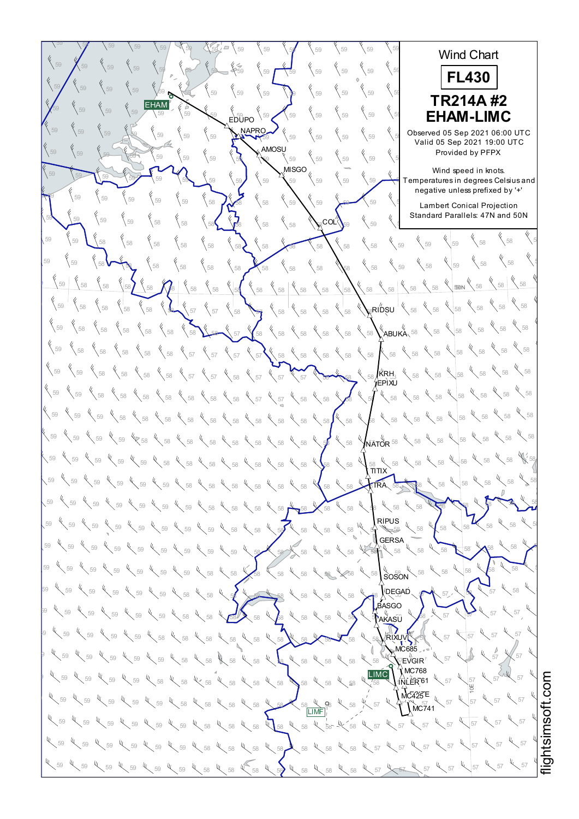$59$   $\sqrt{59}$   $\sqrt{59}$   $\sqrt{59}$   $\sqrt{59}$   $\sqrt{59}$   $\sqrt{59}$   $\sqrt{59}$   $\sqrt{59}$   $\sqrt{59}$   $\sqrt{59}$   $\sqrt{59}$   $\sqrt{59}$ 58 58 58 Wind Chart  $59$   $\bigwedge$   $59$   $\bigvee$   $59$   $\bigvee$   $59$   $\bigvee$   $59$   $\bigvee$   $59$   $\bigvee$   $59$   $\bigvee$   $59$   $\bigvee$   $59$   $\bigvee$   $59$   $\bigvee$   $59$   $\bigvee$   $59$   $\bigvee$   $59$   $\bigvee$   $59$   $\bigvee$   $59$   $\bigvee$   $59$   $\bigvee$   $59$   $\bigvee$   $59$   $\bigvee$   $59$  58 58 58 **FL430** <sup>59</sup> <sup>59</sup> <sup>59</sup> <sup>59</sup> <sup>59</sup> <sup>59</sup> <sup>59</sup> <sup>59</sup> <sup>59</sup> <sup>59</sup> <sup>59</sup> <sup>59</sup> <sup>59</sup> <sup>59</sup> <sup>59</sup> <sup>59</sup> 58 58 58 58 58 58 **TR214A #2** EHAM <sup>58</sup> <sup>58</sup> <sup>59</sup> <sup>59</sup> <sup>59</sup> <sup>59</sup> <sup>59</sup> <sup>59</sup> <sup>59</sup> <sup>59</sup> <sup>59</sup> <sup>59</sup> <sup>59</sup> <sup>59</sup> <sup>59</sup> <sup>59</sup> <sup>58</sup> <sup>58</sup> <sup>58</sup> **EHAM-LIMC** EDUPO NAPRO <sup>59</sup> <sup>59</sup> <sup>58</sup> <sup>59</sup> <sup>59</sup> <sup>59</sup> <sup>59</sup> <sup>59</sup> <sup>59</sup> <sup>59</sup> <sup>59</sup> <sup>59</sup> <sup>59</sup> <sup>59</sup> <sup>59</sup> <sup>59</sup> Observed 05 Sep 2021 06:00 UTC Valid 05 Sep 2021 19:00 UTC **AMOSU** 59  $\begin{bmatrix} 59 \\ 59 \end{bmatrix}$   $\begin{bmatrix} 59 \\ 59 \end{bmatrix}$   $\begin{bmatrix} 59 \\ 59 \end{bmatrix}$   $\begin{bmatrix} 59 \\ 58 \end{bmatrix}$   $\begin{bmatrix} 59 \\ 59 \end{bmatrix}$   $\begin{bmatrix} 59 \\ 59 \end{bmatrix}$   $\begin{bmatrix} 59 \\ 59 \end{bmatrix}$   $\begin{bmatrix} 59 \\ 59 \end{bmatrix}$   $\begin{bmatrix} 59 \\ 59 \end{bmatrix}$ Provided by PFPX Wind speed in knots.  $59$   $\frac{1}{59}$   $\frac{1}{59}$   $\frac{1}{59}$   $\frac{1}{59}$   $\frac{1}{59}$   $\frac{1}{59}$   $\frac{1}{59}$   $\frac{1}{59}$   $\frac{1}{59}$   $\frac{1}{59}$   $\frac{1}{59}$   $\frac{1}{59}$   $\frac{1}{59}$   $\frac{1}{59}$   $\frac{1}{59}$   $\frac{1}{59}$   $\frac{1}{59}$   $\frac{1}{59}$   $\frac{1}{59}$   $\frac{1}{5$ which speed in Nicks.<br>Temperatures in degrees Celsius and negative unless prefixed by '+'  $59$   $\frac{1}{59}$   $\frac{1}{59}$   $\frac{1}{59}$   $\frac{1}{59}$   $\frac{1}{59}$   $\frac{1}{59}$   $\frac{1}{59}$   $\frac{1}{59}$   $\frac{1}{59}$   $\frac{1}{59}$   $\frac{1}{59}$   $\frac{1}{59}$   $\frac{1}{59}$   $\frac{1}{59}$   $\frac{1}{59}$   $\frac{1}{59}$   $\frac{1}{59}$   $\frac{1}{59}$   $\frac{1}{59}$   $\frac{1}{5$ ر<br>Lambert Conical Projection Standard Parallels: 47N and 50N  $59$  59  $\begin{pmatrix} 59 \\ 59 \end{pmatrix}$  59  $\begin{pmatrix} 58 \\ 58 \end{pmatrix}$  58  $\begin{pmatrix} 58 \\ 58 \end{pmatrix}$   $\begin{pmatrix} 58 \\ 58 \end{pmatrix}$   $\begin{pmatrix} 58 \\ 58 \end{pmatrix}$   $\begin{pmatrix} 58 \\ 58 \end{pmatrix}$   $\begin{pmatrix} 59 \\ 59 \end{pmatrix}$   $\begin{pmatrix} 59 \\ 59 \end{pmatrix}$   $\begin{pmatrix} 59 \\ 59 \end{pmatrix}$ ∘co∟″  $\begin{matrix} 6 & 6 \ 68 & 58 \end{matrix}$ 59  $\sqrt{58}$   $\sqrt{58}$   $\sqrt{58}$   $\sqrt{58}$   $\sqrt{58}$   $\sqrt{58}$   $\sqrt{58}$   $\sqrt{58}$   $\sqrt{58}$   $\sqrt{58}$   $\sqrt{58}$   $\sqrt{59}$   $\sqrt{59}$   $\sqrt{59}$ <sup>58</sup> <sup>59</sup> <sup>58</sup> <sup>58</sup> <sup>58</sup> <sup>58</sup> <sup>58</sup> <sup>58</sup> <sup>58</sup> <sup>58</sup> <sup>58</sup> <sup>59</sup> <sup>58</sup> <sup>58</sup> <sup>59</sup> <sup>59</sup> <sup>58</sup> <sup>58</sup> <sup>58</sup> 58 58 58  $\frac{1}{58}$  58  $\frac{1}{58}$   $\frac{1}{58}$   $\frac{1}{58}$   $\frac{1}{58}$   $\frac{1}{58}$   $\frac{1}{58}$   $\frac{1}{58}$   $\frac{1}{58}$   $\frac{1}{58}$   $\frac{1}{58}$   $\frac{1}{58}$   $\frac{1}{58}$   $\frac{1}{58}$   $\frac{1}{58}$   $\frac{1}{58}$   $\frac{1}{58}$   $\frac{1}{58}$   $\frac{1}{58}$   $\frac{1}{58}$  $-40N$  $\mathbb{R}^{\mathsf{R}}$ RIDSU  $^{\mathsf{T}}$  $58 \times 58$ <sup>58</sup> <sup>58</sup> <sup>58</sup> <sup>58</sup> <sup>58</sup> <sup>57</sup> <sup>57</sup> <sup>58</sup> <sup>57</sup> <sup>58</sup> <sup>58</sup> <sup>58</sup> <sup>58</sup> <sup>58</sup> <sup>58</sup> <sup>58</sup> <sup>58</sup> <sup>59</sup> <sup>58</sup> <sup>59</sup> 58 58 58 <sup>58</sup> <sup>58</sup> <sup>58</sup> <sup>58</sup> <sup>58</sup> <sup>58</sup> <sup>58</sup> <sup>57</sup> <sup>58</sup> <sup>58</sup> <sup>58</sup> <sup>58</sup> <sup>58</sup> <sup>58</sup> <sup>58</sup> <sup>58</sup> <sup>58</sup> <sup>59</sup> <sup>58</sup> ABUKA 58 58 58 59  $\begin{array}{c}$  58  $\begin{array}{c}$  58  $\end{array}$  58  $\begin{array}{c}$  58  $\end{array}$  58  $\begin{array}{c}$  58  $\end{array}$  58  $\begin{array}{c}$  58  $\end{array}$  58  $\begin{array}{c}$  58  $\end{array}$  58  $\begin{array}{c}$  58  $\end{array}$  58  $\begin{array}{c}$  58  $\end{array}$  58  $\begin{array}{c}$  58  $\end{array}$  58  $\begin{array}{c}$  58  $\sqrt[4]{\phantom{0}}$  58 KRH 59  $\sqrt{58}$   $\sqrt{58}$   $\sqrt{58}$   $\sqrt{58}$   $\sqrt{58}$   $\sqrt{57}$   $\sqrt{58}$   $\sqrt{58}$   $\sqrt{58}$   $\sqrt{58}$   $\sqrt{58}$   $\sqrt{58}$   $\sqrt{58}$   $\sqrt{58}$   $\sqrt{58}$   $\sqrt{58}$   $\sqrt{58}$   $\sqrt{58}$   $\sqrt{58}$   $\sqrt{58}$   $\sqrt{58}$   $\sqrt{58}$   $\sqrt{58}$   $\sqrt{58}$   $\$ EPIXU  $\sqrt{58}$ 59  $\bigg\{58\bigg\}$  58  $\bigg\{58\bigg\}$  58  $\bigg\{58\bigg\}$  58  $\bigg\{58\bigg\}$  58  $\bigg\{58\bigg\}$  57  $\bigg\{58\bigg\}$  58  $\bigg\{58\bigg\}$  58  $\bigg\{58\bigg\}$  58  $\bigg\{58\bigg\}$  58  $\bigg\}$  58  $\bigg\{58\bigg\}$  $58 \frac{4}{58}$  58 59  $\,$  59  $\,$  59  $\,$  58  $\,$  58  $\,$  58  $\,$  58  $\,$  58  $\,$  58  $\,$  58  $\,$  58  $\,$  58  $\,$  58  $\,$  58  $\,$  58  $\,$  58  $\,$  58  $\,$  58  $\,$  58  $\,$  58  $\,$  58  $\,$  58  $\,$  58  $\,$  58  $\,$  58  $\,$  58  $\,$  58  $\,$  58  $\$  $\int_{\bar{\mathsf{N}}\bar{\mathsf{A}}\mathsf{T}\bar{\mathsf{O}}\mathsf{R}}^{\mathsf{U}}$  58  $58 \times 58$ 59  $\lesssim$  59  $\ll$  59  $\ll$  58  $\ll$  58  $\ll$  58  $\ll$  58  $\ll$  58  $\ll$  58  $\ll$  58  $\ll$  58  $\ll$  58  $\ll$  58  $\ll$  58  $\ll$  58  $\ll$  58 58 W. 59  $\,$  59  $\,$  59  $\,$  59  $\,$  59  $\,$   $\,$  59  $\,$   $\,$  58  $\,$   $\,$  58  $\,$  58  $\,$  58  $\,$  58  $\,$  58  $\,$  59  $\,$  59  $\,$  59  $\,$  59  $\,$  59  $\,$  59  $\,$  59  $\,$  59  $\,$  59  $\,$  59  $\,$  59  $\,$  59  $\,$  59  $\,$  59  $\,$ <sub>э8</sub><br>ΣITIT 58 58 58 59  $\degree$  59  $\degree$  59  $\degree$  59  $\degree$  59  $\degree$  59  $\degree$  59  $\degree$  58  $\degree$  58  $\degree$  58  $\degree$  58  $\degree$  58  $\degree$  58  $\degree$  58  $\degree$  58  $\degree$  58  $\degree$  58  $\degree$  58  $\degree$  58  $\degree$  58 TRA 59  $\sqrt{59}$   $\sqrt{59}$   $\sqrt{59}$   $\sqrt{59}$   $\sqrt{59}$   $\sqrt{59}$   $\sqrt{59}$   $\sqrt{58}$   $\sqrt{59}$   $\sqrt{59}$   $\sqrt{59}$   $\sqrt{59}$   $\sqrt{59}$   $\sqrt{59}$   $\sqrt{59}$   $\sqrt{59}$   $\sqrt{59}$   $\sqrt{59}$   $\sqrt{59}$   $\sqrt{59}$   $\sqrt{59}$   $\sqrt{59}$   $\sqrt{59}$   $\sqrt{59}$   $\$ 58 58 RIPUS 59  $\frac{1}{59}$  59  $\frac{1}{59}$  59  $\frac{1}{59}$  59  $\frac{1}{59}$  59  $\frac{1}{59}$  59  $\frac{1}{59}$  59  $\frac{1}{59}$  58  $\frac{1}{59}$  59  $\frac{1}{59}$  59  $\frac{1}{59}$  59  $\frac{1}{59}$  59  $\frac{1}{59}$  59  $\frac{1}{59}$  59  $\frac{1}{59}$  59  $\frac{1}{59}$  59  $\frac{1}{59$ 58 58 58 **GERSA**  $59$   $\swarrow$  59  $\swarrow$  59  $\swarrow$  59  $\swarrow$  59  $\swarrow$  59  $\swarrow$  59  $\swarrow$  59  $\swarrow$  58  $\swarrow$  58  $\swarrow$  58  $\swarrow$  58  $\swarrow$  58  $\swarrow$  58  $\swarrow$  58  $\swarrow$  58  $\swarrow$  58  $58 \times 58 \times$ ५<br>Soson  $59$   $\swarrow$  59  $\swarrow$  59  $\swarrow$  59  $\swarrow$  59  $\swarrow$  59  $\swarrow$  58  $\swarrow$  58  $\swarrow$  58  $\swarrow$  58  $\swarrow$  58  $\swarrow$  58  $\swarrow$  58  $\swarrow$  58  $\swarrow$  58  $\swarrow$  58  $58 \times 58 \times 5$ 59  $\sqrt{59}$  59  $\sqrt{59}$   $\sqrt{59}$   $\sqrt{59}$   $\sqrt{58}$   $\sqrt{58}$   $\sqrt{58}$   $\sqrt{58}$   $\sqrt{58}$   $\sqrt{58}$   $\sqrt{58}$   $\sqrt{58}$   $\sqrt{58}$   $\sqrt{58}$   $\sqrt{58}$   $\sqrt{58}$   $\sqrt{58}$   $\sqrt{58}$   $\sqrt{58}$   $\sqrt{58}$   $\sqrt{58}$   $\sqrt{58}$   $\sqrt{58}$   $\sqrt{58}$ DEGAD  $57 \times 58 \times$ **ASGO** " (ï<br>AKASŪ  $58$  59  $\ll$  59  $\ll$  59  $\ll$  59  $\ll$  59  $\ll$  58  $\ll$  58  $\ll$  58  $\ll$  58  $\ll$  58  $\ll$  58  $\ll$  58  $\ll$  58  $\ll$  58  $\ll$  58  $\ll$  58  $\ll$  58  $\ll$  59  $\ll$  57  $\ll$  57 57 57  $^{19}$  57 59  $^{10}$  59  $^{10}$  59  $^{10}$  59  $^{10}$  58  $^{10}$  58  $^{10}$  58  $^{10}$  58  $^{10}$  58  $^{10}$  58  $^{10}$  58  $^{10}$  58  $^{10}$  58  $^{10}$  58  $^{10}$  58  $^{10}$  58  $^{10}$  57  $^{10}$  57  $^{10}$  57  $57$ RIXUV MC685  $59$  59  $\frac{1}{3}$  59  $\frac{1}{3}$  59  $\frac{1}{3}$  59  $\frac{1}{3}$  58  $\frac{1}{3}$  58  $\frac{1}{3}$  58  $\frac{1}{3}$  58  $\frac{1}{3}$  58  $\frac{1}{3}$  58  $\frac{1}{3}$  58  $\frac{1}{3}$  58  $\frac{1}{3}$  58  $\frac{1}{3}$  59  $\frac{1}{3}$  59  $\frac{1}{3}$  57  $\frac{1}{3}$  $\bar{C}$ EVGIR  $57 \times 57$  $\hat{N}$ MC768 LIMC Ų,  $\frac{1}{3}$  59  $\frac{1}{3}$  59  $\frac{1}{3}$  59  $\frac{1}{3}$  58  $\frac{1}{3}$  58  $\frac{1}{3}$  58  $\frac{1}{3}$  58  $\frac{1}{3}$  58  $\frac{1}{3}$  58  $\frac{1}{3}$  58  $\frac{1}{3}$  58  $\frac{1}{3}$  58  $\frac{1}{3}$  58  $\frac{1}{3}$  58  $\frac{1}{3}$  58  $\frac{1}{3}$  58  $\frac{1}{3}$  59 57 57 INLER<sup>61</sup> htsim soft.c o10E  $MC425E$  $\frac{1}{58}$  59  $\frac{1}{58}$  59  $\frac{1}{58}$  59  $\frac{1}{58}$  59  $\frac{1}{58}$  59  $\frac{1}{58}$  59  $\frac{1}{58}$  59  $\frac{1}{58}$  59  $\frac{1}{58}$  59  $\frac{1}{58}$  59  $\frac{1}{58}$  59  $\frac{1}{58}$  59  $\frac{1}{58}$  59  $\frac{1}{58}$  59  $\frac{1}{58}$  59  $\frac{1}{58}$  57 57  $N$ C741 LIMF <sup>57</sup> <sup>57</sup> <sup>57</sup> <sup>59</sup> <sup>59</sup> <sup>59</sup> <sup>58</sup> <sup>58</sup> <sup>58</sup> <sup>58</sup> <sup>58</sup> <sup>58</sup> <sup>58</sup> <sup>57</sup> <sup>57</sup> <sup>59</sup> <sup>59</sup> <sup>59</sup>  $57 \frac{1}{2}$  57 ų  $57 \times 57$  $59$   $\ll$   $59$   $\ll$   $59$   $\ll$   $59$   $\ll$   $59$   $\ll$   $59$   $\ll$   $58$   $\ll$   $58$   $\ll$   $58$   $\ll$   $58$   $\ll$   $59$   $\ll$   $59$   $\ll$   $57$   $\ll$   $57$   $\ll$   $57$   $\ll$   $57$ <sup>57</sup> <sup>57</sup> <sup>57</sup> <sup>59</sup> <sup>59</sup> <sup>59</sup> <sup>58</sup> <sup>58</sup> <sup>58</sup> <sup>58</sup> <sup>58</sup> <sup>58</sup> <sup>58</sup> <sup>57</sup> <sup>57</sup> <sup>59</sup> <sup>59</sup> <sup>59</sup>  $4\sqrt{57}$   $4\sqrt{57}$ i≣